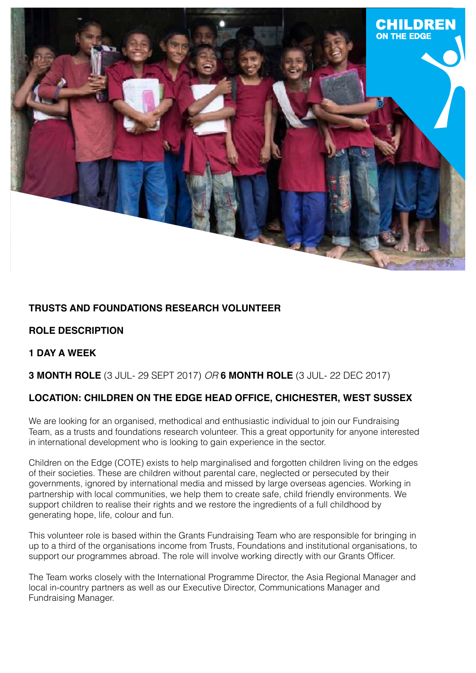

# **TRUSTS AND FOUNDATIONS RESEARCH VOLUNTEER**

## **ROLE DESCRIPTION**

## **1 DAY A WEEK**

#### **3 MONTH ROLE** (3 JUL- 29 SEPT 2017) *OR* **6 MONTH ROLE** (3 JUL- 22 DEC 2017)

## **LOCATION: CHILDREN ON THE EDGE HEAD OFFICE, CHICHESTER, WEST SUSSEX**

We are looking for an organised, methodical and enthusiastic individual to join our Fundraising Team, as a trusts and foundations research volunteer. This a great opportunity for anyone interested in international development who is looking to gain experience in the sector.

Children on the Edge (COTE) exists to help marginalised and forgotten children living on the edges of their societies. These are children without parental care, neglected or persecuted by their governments, ignored by international media and missed by large overseas agencies. Working in partnership with local communities, we help them to create safe, child friendly environments. We support children to realise their rights and we restore the ingredients of a full childhood by generating hope, life, colour and fun.

This volunteer role is based within the Grants Fundraising Team who are responsible for bringing in up to a third of the organisations income from Trusts, Foundations and institutional organisations, to support our programmes abroad. The role will involve working directly with our Grants Officer.

The Team works closely with the International Programme Director, the Asia Regional Manager and local in-country partners as well as our Executive Director, Communications Manager and Fundraising Manager.